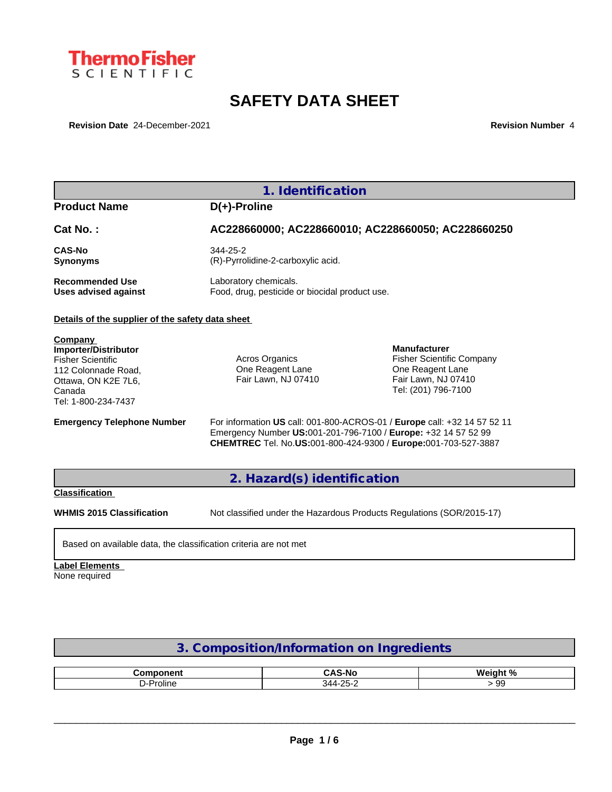

# **SAFETY DATA SHEET**

**Revision Date** 24-December-2021 **Revision Number** 4

|                                                                                                                                            | 1. Identification                                                       |                                                                                                                                            |
|--------------------------------------------------------------------------------------------------------------------------------------------|-------------------------------------------------------------------------|--------------------------------------------------------------------------------------------------------------------------------------------|
| <b>Product Name</b>                                                                                                                        | $D(+)$ -Proline                                                         |                                                                                                                                            |
| Cat No.:                                                                                                                                   |                                                                         | AC228660000; AC228660010; AC228660050; AC228660250                                                                                         |
| <b>CAS-No</b><br><b>Synonyms</b>                                                                                                           | 344-25-2<br>(R)-Pyrrolidine-2-carboxylic acid.                          |                                                                                                                                            |
| <b>Recommended Use</b><br>Uses advised against                                                                                             | Laboratory chemicals.<br>Food, drug, pesticide or biocidal product use. |                                                                                                                                            |
| Details of the supplier of the safety data sheet                                                                                           |                                                                         |                                                                                                                                            |
| Company<br>Importer/Distributor<br><b>Fisher Scientific</b><br>112 Colonnade Road.<br>Ottawa, ON K2E 7L6,<br>Canada<br>Tel: 1-800-234-7437 | Acros Organics<br>One Reagent Lane<br>Fair Lawn, NJ 07410               | <b>Manufacturer</b><br><b>Fisher Scientific Company</b><br>One Reagent Lane<br>Fair Lawn, NJ 07410<br>Tel: (201) 796-7100                  |
| <b>Emergency Telephone Number</b>                                                                                                          | Emergency Number US:001-201-796-7100 / Europe: +32 14 57 52 99          | For information US call: 001-800-ACROS-01 / Europe call: +32 14 57 52 11<br>CHEMTREC Tel. No.US:001-800-424-9300 / Europe:001-703-527-3887 |
|                                                                                                                                            | 2. Hazard(s) identification                                             |                                                                                                                                            |
| <b>Classification</b>                                                                                                                      |                                                                         |                                                                                                                                            |
| <b>WHMIS 2015 Classification</b>                                                                                                           |                                                                         | Not classified under the Hazardous Products Regulations (SOR/2015-17)                                                                      |
| Based on available data, the classification criteria are not met                                                                           |                                                                         |                                                                                                                                            |

# **Label Elements**

None required

# **3. Composition/Information on Ingredients**

| - --- -- - -- - -- <b>-</b> | -<br>¬ л –<br>٠N٠ | 1. N /<br>$M_{\odot}$ |
|-----------------------------|-------------------|-----------------------|
| Proline                     | ാല<br>34 A        | oc<br>- 00            |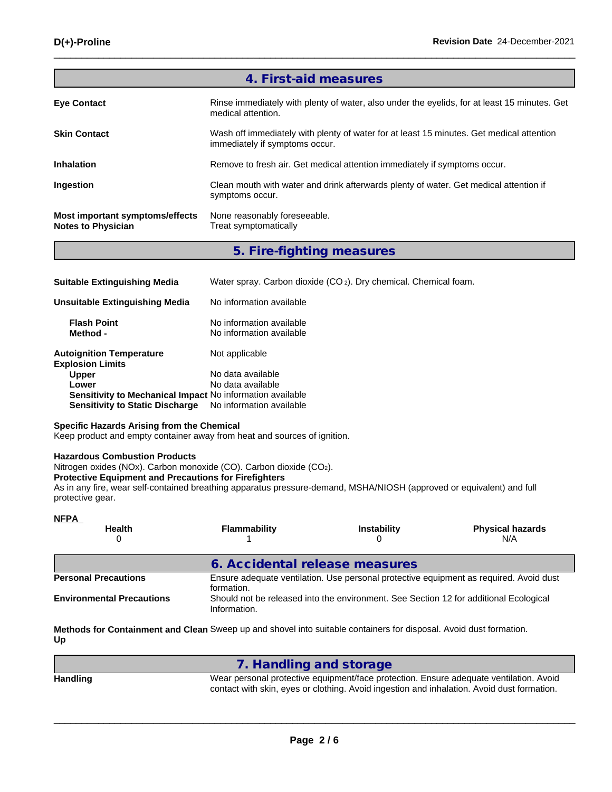|                                                              | 4. First-aid measures                                                                                                      |
|--------------------------------------------------------------|----------------------------------------------------------------------------------------------------------------------------|
| <b>Eye Contact</b>                                           | Rinse immediately with plenty of water, also under the eyelids, for at least 15 minutes. Get<br>medical attention.         |
| <b>Skin Contact</b>                                          | Wash off immediately with plenty of water for at least 15 minutes. Get medical attention<br>immediately if symptoms occur. |
| <b>Inhalation</b>                                            | Remove to fresh air. Get medical attention immediately if symptoms occur.                                                  |
| Ingestion                                                    | Clean mouth with water and drink afterwards plenty of water. Get medical attention if<br>symptoms occur.                   |
| Most important symptoms/effects<br><b>Notes to Physician</b> | None reasonably foreseeable.<br>Treat symptomatically                                                                      |

**5. Fire-fighting measures**

| <b>Suitable Extinguishing Media</b>                        | Water spray. Carbon dioxide (CO <sub>2</sub> ). Dry chemical. Chemical foam. |
|------------------------------------------------------------|------------------------------------------------------------------------------|
| Unsuitable Extinguishing Media                             | No information available                                                     |
| <b>Flash Point</b><br>Method -                             | No information available<br>No information available                         |
| <b>Autoignition Temperature</b><br><b>Explosion Limits</b> | Not applicable                                                               |
| <b>Upper</b>                                               | No data available                                                            |
| Lower                                                      | No data available                                                            |
| Sensitivity to Mechanical Impact No information available  |                                                                              |
| <b>Sensitivity to Static Discharge</b>                     | No information available                                                     |

## **Specific Hazards Arising from the Chemical**

Keep product and empty container away from heat and sources of ignition.

# **Hazardous Combustion Products**

Nitrogen oxides (NOx). Carbon monoxide (CO). Carbon dioxide (CO2).

#### **Protective Equipment and Precautions for Firefighters**

As in any fire, wear self-contained breathing apparatus pressure-demand, MSHA/NIOSH (approved or equivalent) and full protective gear.

| <u>NFPA</u>                      |                                |                                                                                       |                                                                                        |
|----------------------------------|--------------------------------|---------------------------------------------------------------------------------------|----------------------------------------------------------------------------------------|
| <b>Health</b>                    | Flammability                   | <b>Instability</b>                                                                    | <b>Physical hazards</b><br>N/A                                                         |
|                                  | 6. Accidental release measures |                                                                                       |                                                                                        |
| <b>Personal Precautions</b>      | formation.                     |                                                                                       | Ensure adequate ventilation. Use personal protective equipment as required. Avoid dust |
| <b>Environmental Precautions</b> | Information.                   | Should not be released into the environment. See Section 12 for additional Ecological |                                                                                        |

**Methods for Containment and Clean** Sweep up and shovel into suitable containers for disposal. Avoid dust formation. **Up**

|          | 7. Handling and storage                                                                                                                                                              |
|----------|--------------------------------------------------------------------------------------------------------------------------------------------------------------------------------------|
| Handling | Wear personal protective equipment/face protection. Ensure adequate ventilation. Avoid<br>contact with skin, eyes or clothing. Avoid ingestion and inhalation. Avoid dust formation. |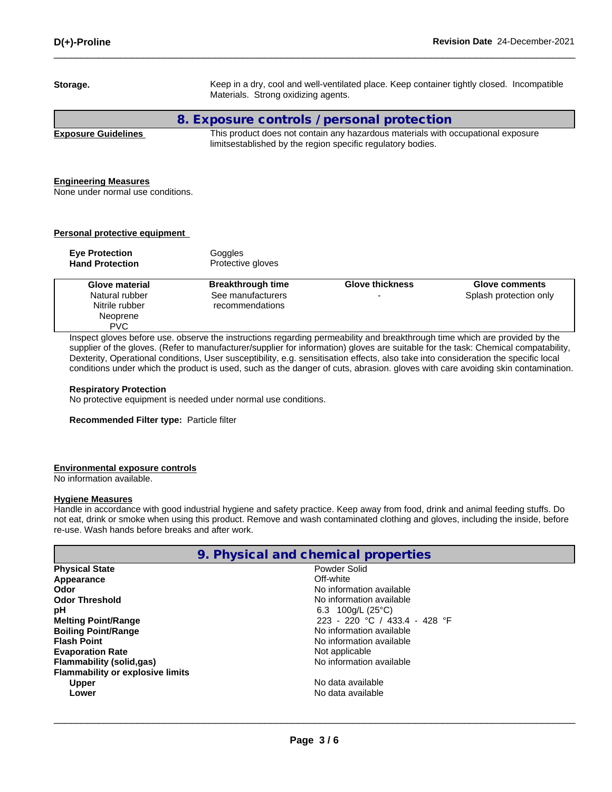| Storage.                                                                                                                                                                                                          | Materials. Strong oxidizing agents.                              |                                                                                                                                                 | Keep in a dry, cool and well-ventilated place. Keep container tightly closed. Incompatible |
|-------------------------------------------------------------------------------------------------------------------------------------------------------------------------------------------------------------------|------------------------------------------------------------------|-------------------------------------------------------------------------------------------------------------------------------------------------|--------------------------------------------------------------------------------------------|
|                                                                                                                                                                                                                   | 8. Exposure controls / personal protection                       |                                                                                                                                                 |                                                                                            |
| <b>Exposure Guidelines</b>                                                                                                                                                                                        |                                                                  | This product does not contain any hazardous materials with occupational exposure<br>limitsestablished by the region specific regulatory bodies. |                                                                                            |
| <b>Engineering Measures</b><br>None under normal use conditions.                                                                                                                                                  |                                                                  |                                                                                                                                                 |                                                                                            |
| <b>Personal protective equipment</b>                                                                                                                                                                              |                                                                  |                                                                                                                                                 |                                                                                            |
| <b>Eye Protection</b><br><b>Hand Protection</b>                                                                                                                                                                   | Goggles<br>Protective gloves                                     |                                                                                                                                                 |                                                                                            |
| <b>Glove material</b><br>Natural rubber<br>Nitrile rubber<br>Neoprene<br><b>PVC</b><br>Inspect gloves before use. observe the instructions regarding permeability and breakthrough time which are provided by the | <b>Breakthrough time</b><br>See manufacturers<br>recommendations | <b>Glove thickness</b>                                                                                                                          | <b>Glove comments</b><br>Splash protection only                                            |

supplier of the gloves. (Refer to manufacturer/supplier for information) gloves are suitable for the task: Chemical compatability, Dexterity, Operational conditions, User susceptibility, e.g. sensitisation effects, also take into consideration the specific local conditions under which the product is used, such as the danger of cuts, abrasion. gloves with care avoiding skin contamination.

#### **Respiratory Protection**

No protective equipment is needed under normal use conditions.

**Recommended Filter type:** Particle filter

#### **Environmental exposure controls**

No information available.

#### **Hygiene Measures**

Handle in accordance with good industrial hygiene and safety practice. Keep away from food, drink and animal feeding stuffs. Do not eat, drink or smoke when using this product. Remove and wash contaminated clothing and gloves, including the inside, before re-use. Wash hands before breaks and after work.

|  |  | 9. Physical and chemical properties |  |  |
|--|--|-------------------------------------|--|--|
|--|--|-------------------------------------|--|--|

| <b>Physical State</b>                   | Powder Solid                 |
|-----------------------------------------|------------------------------|
| Appearance                              | Off-white                    |
| Odor                                    | No information available     |
| <b>Odor Threshold</b>                   | No information available     |
| рH                                      | 6.3 100g/L (25 °C)           |
| <b>Melting Point/Range</b>              | 223 - 220 °C / 433.4 - 428 ° |
| <b>Boiling Point/Range</b>              | No information available     |
| <b>Flash Point</b>                      | No information available     |
| <b>Evaporation Rate</b>                 | Not applicable               |
| <b>Flammability (solid,gas)</b>         | No information available     |
| <b>Flammability or explosive limits</b> |                              |
| <b>Upper</b>                            | No data available            |
| Lower                                   | No data available            |
|                                         |                              |

**Powder Solid**<br>Off-white **No information available No information available pH** 6.3 100g/L (25°C) **Melting Point/Range** 223 - 220 °C / 433.4 - 428 °F **No information available No information available Not applicable Flammability (solid,gas)** No information available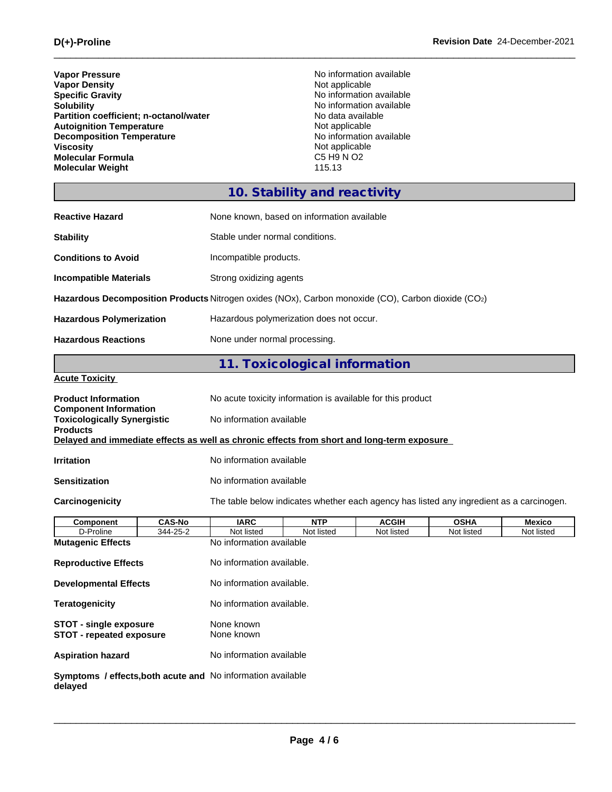| <b>Vapor Pressure</b><br><b>Vapor Density</b><br><b>Specific Gravity</b><br><b>Solubility</b><br>Partition coefficient; n-octanol/water<br><b>Autoignition Temperature</b><br><b>Decomposition Temperature</b><br><b>Viscosity</b><br><b>Molecular Formula</b><br><b>Molecular Weight</b> |                                                                                          | Not applicable<br>No data available<br>Not applicable<br>Not applicable<br>C5 H9 N O2<br>115.13 | No information available<br>No information available<br>No information available<br>No information available |             |               |
|-------------------------------------------------------------------------------------------------------------------------------------------------------------------------------------------------------------------------------------------------------------------------------------------|------------------------------------------------------------------------------------------|-------------------------------------------------------------------------------------------------|--------------------------------------------------------------------------------------------------------------|-------------|---------------|
|                                                                                                                                                                                                                                                                                           |                                                                                          | 10. Stability and reactivity                                                                    |                                                                                                              |             |               |
| <b>Reactive Hazard</b>                                                                                                                                                                                                                                                                    | None known, based on information available                                               |                                                                                                 |                                                                                                              |             |               |
| <b>Stability</b>                                                                                                                                                                                                                                                                          | Stable under normal conditions.                                                          |                                                                                                 |                                                                                                              |             |               |
| <b>Conditions to Avoid</b>                                                                                                                                                                                                                                                                | Incompatible products.                                                                   |                                                                                                 |                                                                                                              |             |               |
| <b>Incompatible Materials</b>                                                                                                                                                                                                                                                             | Strong oxidizing agents                                                                  |                                                                                                 |                                                                                                              |             |               |
| Hazardous Decomposition Products Nitrogen oxides (NOx), Carbon monoxide (CO), Carbon dioxide (CO2)                                                                                                                                                                                        |                                                                                          |                                                                                                 |                                                                                                              |             |               |
| <b>Hazardous Polymerization</b>                                                                                                                                                                                                                                                           | Hazardous polymerization does not occur.                                                 |                                                                                                 |                                                                                                              |             |               |
| <b>Hazardous Reactions</b>                                                                                                                                                                                                                                                                |                                                                                          |                                                                                                 |                                                                                                              |             |               |
|                                                                                                                                                                                                                                                                                           | None under normal processing.                                                            |                                                                                                 |                                                                                                              |             |               |
|                                                                                                                                                                                                                                                                                           |                                                                                          | 11. Toxicological information                                                                   |                                                                                                              |             |               |
| <b>Acute Toxicity</b>                                                                                                                                                                                                                                                                     |                                                                                          |                                                                                                 |                                                                                                              |             |               |
| <b>Product Information</b>                                                                                                                                                                                                                                                                | No acute toxicity information is available for this product                              |                                                                                                 |                                                                                                              |             |               |
| <b>Component Information</b><br><b>Toxicologically Synergistic</b>                                                                                                                                                                                                                        | No information available                                                                 |                                                                                                 |                                                                                                              |             |               |
| <b>Products</b><br>Delayed and immediate effects as well as chronic effects from short and long-term exposure                                                                                                                                                                             |                                                                                          |                                                                                                 |                                                                                                              |             |               |
|                                                                                                                                                                                                                                                                                           |                                                                                          |                                                                                                 |                                                                                                              |             |               |
| <b>Irritation</b>                                                                                                                                                                                                                                                                         | No information available                                                                 |                                                                                                 |                                                                                                              |             |               |
| <b>Sensitization</b>                                                                                                                                                                                                                                                                      | No information available                                                                 |                                                                                                 |                                                                                                              |             |               |
| Carcinogenicity                                                                                                                                                                                                                                                                           | The table below indicates whether each agency has listed any ingredient as a carcinogen. |                                                                                                 |                                                                                                              |             |               |
| <b>CAS-No</b><br>Component                                                                                                                                                                                                                                                                | <b>IARC</b>                                                                              | <b>NTP</b>                                                                                      | <b>ACGIH</b>                                                                                                 | <b>OSHA</b> | <b>Mexico</b> |
| D-Proline<br>344-25-2                                                                                                                                                                                                                                                                     | Not listed                                                                               | Not listed                                                                                      | Not listed                                                                                                   | Not listed  | Not listed    |
| <b>Mutagenic Effects</b>                                                                                                                                                                                                                                                                  | No information available                                                                 |                                                                                                 |                                                                                                              |             |               |
| <b>Reproductive Effects</b>                                                                                                                                                                                                                                                               | No information available.                                                                |                                                                                                 |                                                                                                              |             |               |
| <b>Developmental Effects</b>                                                                                                                                                                                                                                                              | No information available.                                                                |                                                                                                 |                                                                                                              |             |               |
| <b>Teratogenicity</b>                                                                                                                                                                                                                                                                     | No information available.                                                                |                                                                                                 |                                                                                                              |             |               |

**STOT - single exposure None known STOT - repeated exposure** None known

**Aspiration hazard** No information available

**Symptoms / effects,both acute and delayed** No information available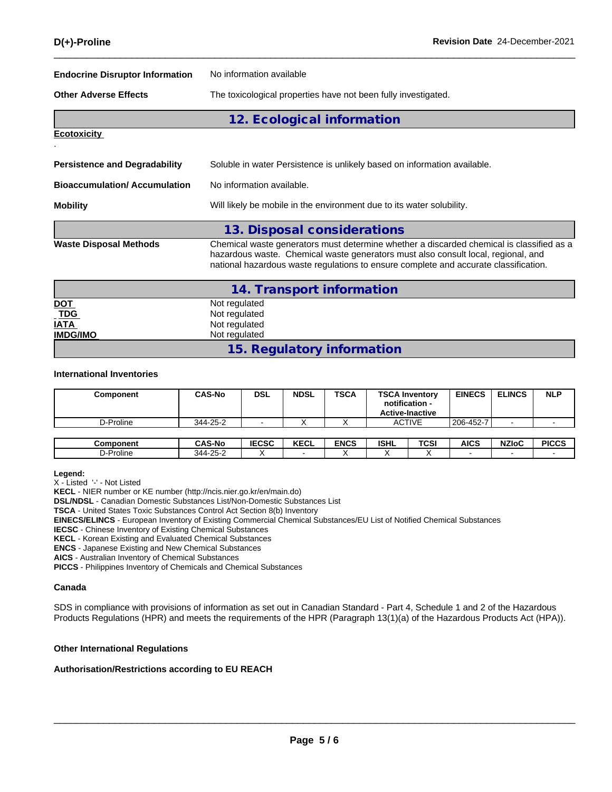| <b>Endocrine Disruptor Information</b><br>No information available |                                                                                                                                                                                                                                                                       |  |  |  |  |
|--------------------------------------------------------------------|-----------------------------------------------------------------------------------------------------------------------------------------------------------------------------------------------------------------------------------------------------------------------|--|--|--|--|
| <b>Other Adverse Effects</b>                                       | The toxicological properties have not been fully investigated.                                                                                                                                                                                                        |  |  |  |  |
|                                                                    | 12. Ecological information                                                                                                                                                                                                                                            |  |  |  |  |
| <b>Ecotoxicity</b>                                                 |                                                                                                                                                                                                                                                                       |  |  |  |  |
|                                                                    |                                                                                                                                                                                                                                                                       |  |  |  |  |
| <b>Persistence and Degradability</b>                               | Soluble in water Persistence is unlikely based on information available.                                                                                                                                                                                              |  |  |  |  |
| <b>Bioaccumulation/Accumulation</b>                                | No information available.                                                                                                                                                                                                                                             |  |  |  |  |
| <b>Mobility</b>                                                    | Will likely be mobile in the environment due to its water solubility.                                                                                                                                                                                                 |  |  |  |  |
|                                                                    | 13. Disposal considerations                                                                                                                                                                                                                                           |  |  |  |  |
| <b>Waste Disposal Methods</b>                                      | Chemical waste generators must determine whether a discarded chemical is classified as a<br>hazardous waste. Chemical waste generators must also consult local, regional, and<br>national hazardous waste regulations to ensure complete and accurate classification. |  |  |  |  |
|                                                                    | 14. Transport information                                                                                                                                                                                                                                             |  |  |  |  |
| <b>DOT</b>                                                         | Not regulated                                                                                                                                                                                                                                                         |  |  |  |  |
| <b>TDG</b>                                                         | Not regulated                                                                                                                                                                                                                                                         |  |  |  |  |
| <b>IATA</b><br><b>IMDG/IMO</b>                                     | Not regulated                                                                                                                                                                                                                                                         |  |  |  |  |
|                                                                    | Not regulated                                                                                                                                                                                                                                                         |  |  |  |  |

**15. Regulatory information**

## **International Inventories**

| Component | <b>CAS-No</b> | <b>DSL</b> | <b>NDSL</b> | <b>TSCA</b> | <b>TSCA Inventory</b><br>notification -<br><b>Active-Inactive</b> | <b>EINECS</b> | <b>ELINCS</b> | <b>NLP</b> |
|-----------|---------------|------------|-------------|-------------|-------------------------------------------------------------------|---------------|---------------|------------|
| D-Proline | 344-25-2      |            |             |             | <b>ACTIVE</b>                                                     | 206-452-7     |               |            |

| Component | <b>CAS-No</b>         | IFAAA<br>IECSC | $I - I$<br><b>KEGL</b> | <b>ENCS</b> | ISHL | <b>TCSI</b> | <b>AICS</b> | <b>NZIoC</b> | <b>PICCS</b> |
|-----------|-----------------------|----------------|------------------------|-------------|------|-------------|-------------|--------------|--------------|
| ワ-Proline | -25-2<br>$311 -$<br>┄ |                |                        |             |      |             |             |              |              |

#### **Legend:**

X - Listed '-' - Not Listed

**KECL** - NIER number or KE number (http://ncis.nier.go.kr/en/main.do)

**DSL/NDSL** - Canadian Domestic Substances List/Non-Domestic Substances List

**TSCA** - United States Toxic Substances Control Act Section 8(b) Inventory

**EINECS/ELINCS** - European Inventory of Existing Commercial Chemical Substances/EU List of Notified Chemical Substances

**IECSC** - Chinese Inventory of Existing Chemical Substances

**KECL** - Korean Existing and Evaluated Chemical Substances

**ENCS** - Japanese Existing and New Chemical Substances

**AICS** - Australian Inventory of Chemical Substances

**PICCS** - Philippines Inventory of Chemicals and Chemical Substances

#### **Canada**

SDS in compliance with provisions of information as set out in Canadian Standard - Part 4, Schedule 1 and 2 of the Hazardous Products Regulations (HPR) and meets the requirements of the HPR (Paragraph 13(1)(a) of the Hazardous Products Act (HPA)).

#### **Other International Regulations**

#### **Authorisation/Restrictions according to EU REACH**